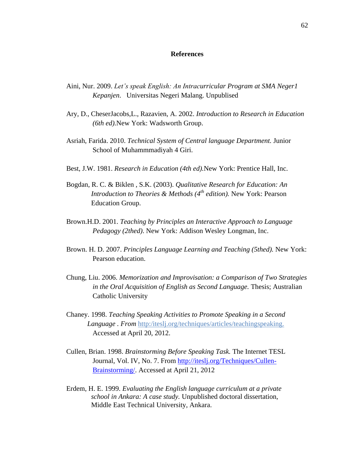## **References**

- Aini, Nur. 2009. *Let's speak English: An Intracurricular Program at SMA Neger1 Kepanjen*. Universitas Negeri Malang. Unpublised
- Ary, D., CheserJacobs,L., Razavien, A. 2002. *Introduction to Research in Education (6th ed).*New York: Wadsworth Group.
- Asriah, Farida. 2010. *Technical System of Central language Department.* Junior School of Muhammmadiyah 4 Giri.
- Best, J.W. 1981. *Research in Education (4th ed).*New York: Prentice Hall, Inc.
- Bogdan, R. C. & Biklen , S.K. (2003). *Qualitative Research for Education: An Introduction to Theories & Methods (4th edition).* New York: Pearson Education Group.
- Brown.H.D. 2001. *Teaching by Principles an Interactive Approach to Language Pedagogy (2thed)*. New York: Addison Wesley Longman, Inc.
- Brown. H. D. 2007. *Principles Language Learning and Teaching (5thed).* New York: Pearson education.
- Chung, Liu. 2006. *Memorization and Improvisation: a Comparison of Two Strategies in the Oral Acquisition of English as Second Language.* Thesis; Australian Catholic University
- Chaney. 1998. *Teaching Speaking Activities to Promote Speaking in a Second Language . From* http:/iteslj.org/techniques/articles/teachingspeaking. Accessed at April 20, 2012.
- Cullen, Brian. 1998. *Brainstorming Before Speaking Task.* The Internet TESL Journal, Vol. IV, No. 7. From [http://iteslj.org/Techniques/Cullen-](http://iteslj.org/Techniques/Cullen-Brainstorming/)[Brainstorming/.](http://iteslj.org/Techniques/Cullen-Brainstorming/) Accessed at April 21, 2012
- Erdem, H. E. 1999. *Evaluating the English language curriculum at a private school in Ankara: A case study.* Unpublished doctoral dissertation, Middle East Technical University, Ankara.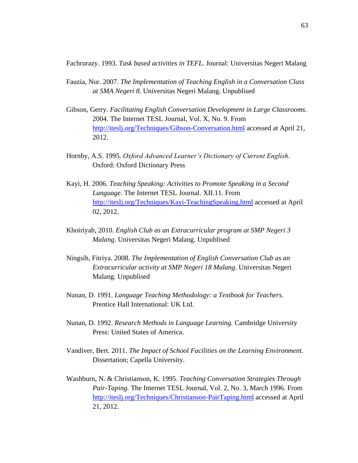Fachrurazy. 1993. *Task based activities in TEFL.* Journal: Universitas Negeri Malang

- Fauzia, Nur. 2007. *The Implementation of Teaching English in a Conversation Class at SMA Negeri 8.* Universitas Negeri Malang. Unpublised
- Gibson, Gerry. *Facilitating English Conversation Development in Large Classrooms*. 2004. The Internet TESL Journal, Vol. X, No. 9. From <http://iteslj.org/Techniques/Gibson-Conversation.html> accessed at April 21, 2012.
- Hornby, A.S. 1995. *Oxford Advanced Learner's Dictionary of Current English*. Oxford: Oxford Dictionary Press
- Kayi, H. 2006. *Teaching Speaking: Activities to Promote Speaking in a Second Language*. The Internet TESL Journal. XII.11. From <http://iteslj.org/Techniques/Kayi-TeachingSpeaking.html> accessed at April 02, 2012.
- Khoiriyah, 2010. *English Club as an Extracurricular program at SMP Negeri 3 Malang*. Universitas Negeri Malang. Unpublised
- Ningsih, Fitriya. 2008. *The Implementation of English Conversation Club as an Extracurricular activity at SMP Negeri 18 Malang*. Universitas Negeri Malang. Unpublised
- Nunan, D. 1991. *Language Teaching Methodology: a Textbook for Teachers.*  Prentice Hall International: UK Ltd.
- Nunan, D. 1992. *Research Methods in Language Learning.* Cambridge University Press: United States of America.
- Vandiver, Bert. 2011. *The Impact of School Facilities on the Learning Environment.* Dissertation; Capella University.
- Washburn, N. & Christianson, K. 1995. *Teaching Conversation Strategies Through Pair-Taping.* The Internet TESL Journal, Vol. 2, No. 3, March 1996. From <http://iteslj.org/Techniques/Christianson-PairTaping.html> accessed at April 21, 2012.